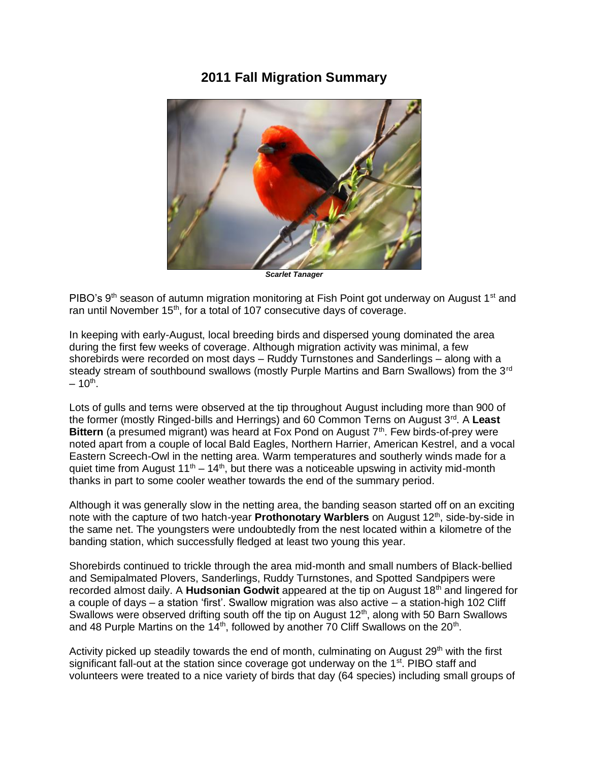## **2011 Fall Migration Summary**



*Scarlet Tanager*

PIBO's 9<sup>th</sup> season of autumn migration monitoring at Fish Point got underway on August 1<sup>st</sup> and ran until November 15<sup>th</sup>, for a total of 107 consecutive days of coverage.

In keeping with early-August, local breeding birds and dispersed young dominated the area during the first few weeks of coverage. Although migration activity was minimal, a few shorebirds were recorded on most days – Ruddy Turnstones and Sanderlings – along with a steady stream of southbound swallows (mostly Purple Martins and Barn Swallows) from the 3<sup>rd</sup>  $-10^{\text{th}}$ .

Lots of gulls and terns were observed at the tip throughout August including more than 900 of the former (mostly Ringed-bills and Herrings) and 60 Common Terns on August 3rd. A **Least Bittern** (a presumed migrant) was heard at Fox Pond on August 7<sup>th</sup>. Few birds-of-prey were noted apart from a couple of local Bald Eagles, Northern Harrier, American Kestrel, and a vocal Eastern Screech-Owl in the netting area. Warm temperatures and southerly winds made for a quiet time from August  $11<sup>th</sup> - 14<sup>th</sup>$ , but there was a noticeable upswing in activity mid-month thanks in part to some cooler weather towards the end of the summary period.

Although it was generally slow in the netting area, the banding season started off on an exciting note with the capture of two hatch-year **Prothonotary Warblers** on August 12th, side-by-side in the same net. The youngsters were undoubtedly from the nest located within a kilometre of the banding station, which successfully fledged at least two young this year.

Shorebirds continued to trickle through the area mid-month and small numbers of Black-bellied and Semipalmated Plovers, Sanderlings, Ruddy Turnstones, and Spotted Sandpipers were recorded almost daily. A **Hudsonian Godwit** appeared at the tip on August 18th and lingered for a couple of days – a station 'first'. Swallow migration was also active – a station-high 102 Cliff Swallows were observed drifting south off the tip on August 12<sup>th</sup>, along with 50 Barn Swallows and 48 Purple Martins on the 14<sup>th</sup>, followed by another 70 Cliff Swallows on the 20<sup>th</sup>.

Activity picked up steadily towards the end of month, culminating on August 29<sup>th</sup> with the first significant fall-out at the station since coverage got underway on the 1<sup>st</sup>. PIBO staff and volunteers were treated to a nice variety of birds that day (64 species) including small groups of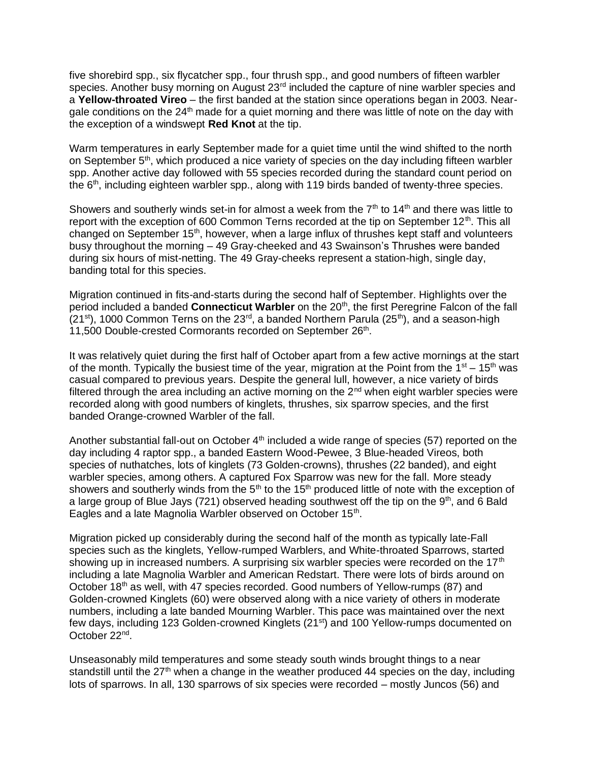five shorebird spp., six flycatcher spp., four thrush spp., and good numbers of fifteen warbler species. Another busy morning on August 23<sup>rd</sup> included the capture of nine warbler species and a **Yellow-throated Vireo** – the first banded at the station since operations began in 2003. Neargale conditions on the 24<sup>th</sup> made for a quiet morning and there was little of note on the day with the exception of a windswept **Red Knot** at the tip.

Warm temperatures in early September made for a quiet time until the wind shifted to the north on September  $5<sup>th</sup>$ , which produced a nice variety of species on the day including fifteen warbler spp. Another active day followed with 55 species recorded during the standard count period on the 6<sup>th</sup>, including eighteen warbler spp., along with 119 birds banded of twenty-three species.

Showers and southerly winds set-in for almost a week from the  $7<sup>th</sup>$  to 14<sup>th</sup> and there was little to report with the exception of 600 Common Terns recorded at the tip on September  $12<sup>th</sup>$ . This all changed on September 15<sup>th</sup>, however, when a large influx of thrushes kept staff and volunteers busy throughout the morning – 49 Gray-cheeked and 43 Swainson's Thrushes were banded during six hours of mist-netting. The 49 Gray-cheeks represent a station-high, single day, banding total for this species.

Migration continued in fits-and-starts during the second half of September. Highlights over the period included a banded **Connecticut Warbler** on the 20<sup>th</sup>, the first Peregrine Falcon of the fall  $(21^{st})$ , 1000 Common Terns on the 23<sup>rd</sup>, a banded Northern Parula  $(25^{th})$ , and a season-high 11,500 Double-crested Cormorants recorded on September 26<sup>th</sup>.

It was relatively quiet during the first half of October apart from a few active mornings at the start of the month. Typically the busiest time of the year, migration at the Point from the  $1<sup>st</sup> - 15<sup>th</sup>$  was casual compared to previous years. Despite the general lull, however, a nice variety of birds filtered through the area including an active morning on the  $2<sup>nd</sup>$  when eight warbler species were recorded along with good numbers of kinglets, thrushes, six sparrow species, and the first banded Orange-crowned Warbler of the fall.

Another substantial fall-out on October  $4<sup>th</sup>$  included a wide range of species (57) reported on the day including 4 raptor spp., a banded Eastern Wood-Pewee, 3 Blue-headed Vireos, both species of nuthatches, lots of kinglets (73 Golden-crowns), thrushes (22 banded), and eight warbler species, among others. A captured Fox Sparrow was new for the fall. More steady showers and southerly winds from the  $5<sup>th</sup>$  to the 15<sup>th</sup> produced little of note with the exception of a large group of Blue Jays (721) observed heading southwest off the tip on the  $9<sup>th</sup>$ , and 6 Bald Eagles and a late Magnolia Warbler observed on October 15<sup>th</sup>.

Migration picked up considerably during the second half of the month as typically late-Fall species such as the kinglets, Yellow-rumped Warblers, and White-throated Sparrows, started showing up in increased numbers. A surprising six warbler species were recorded on the  $17<sup>th</sup>$ including a late Magnolia Warbler and American Redstart. There were lots of birds around on October 18<sup>th</sup> as well, with 47 species recorded. Good numbers of Yellow-rumps (87) and Golden-crowned Kinglets (60) were observed along with a nice variety of others in moderate numbers, including a late banded Mourning Warbler. This pace was maintained over the next few days, including 123 Golden-crowned Kinglets (21st) and 100 Yellow-rumps documented on October 22<sup>nd</sup>.

Unseasonably mild temperatures and some steady south winds brought things to a near standstill until the  $27<sup>th</sup>$  when a change in the weather produced 44 species on the day, including lots of sparrows. In all, 130 sparrows of six species were recorded – mostly Juncos (56) and